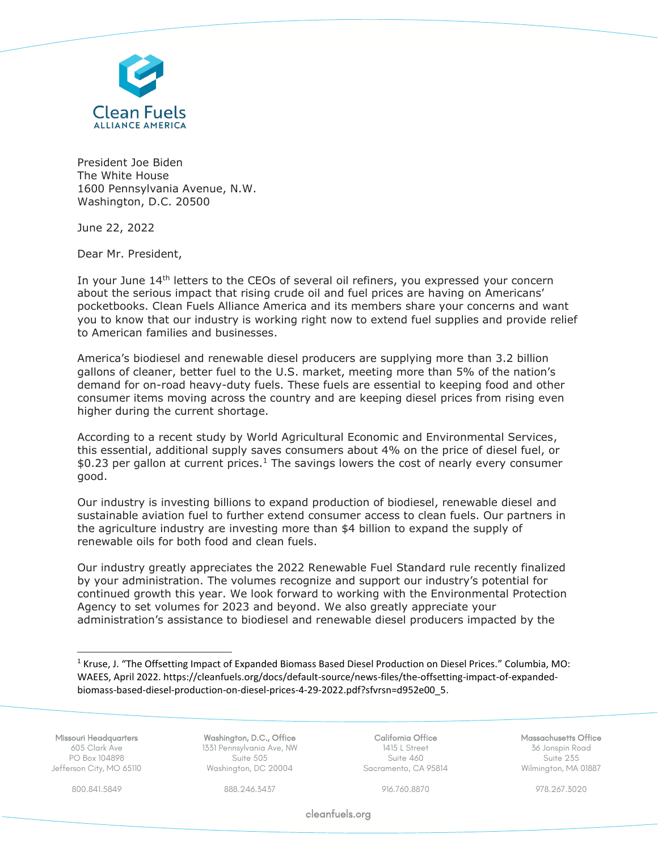

President Joe Biden The White House 1600 Pennsylvania Avenue, N.W. Washington, D.C. 20500

June 22, 2022

Dear Mr. President,

In your June 14<sup>th</sup> letters to the CEOs of several oil refiners, you expressed your concern about the serious impact that rising crude oil and fuel prices are having on Americans' pocketbooks. Clean Fuels Alliance America and its members share your concerns and want you to know that our industry is working right now to extend fuel supplies and provide relief to American families and businesses.

America's biodiesel and renewable diesel producers are supplying more than 3.2 billion gallons of cleaner, better fuel to the U.S. market, meeting more than 5% of the nation's demand for on-road heavy-duty fuels. These fuels are essential to keeping food and other consumer items moving across the country and are keeping diesel prices from rising even higher during the current shortage.

According to a recent study by World Agricultural Economic and Environmental Services, this essential, additional supply saves consumers about 4% on the price of diesel fuel, or \$0.23 per gallon at current prices.<sup>1</sup> The savings lowers the cost of nearly every consumer good.

Our industry is investing billions to expand production of biodiesel, renewable diesel and sustainable aviation fuel to further extend consumer access to clean fuels. Our partners in the agriculture industry are investing more than \$4 billion to expand the supply of renewable oils for both food and clean fuels.

Our industry greatly appreciates the 2022 Renewable Fuel Standard rule recently finalized by your administration. The volumes recognize and support our industry's potential for continued growth this year. We look forward to working with the Environmental Protection Agency to set volumes for 2023 and beyond. We also greatly appreciate your administration's assistance to biodiesel and renewable diesel producers impacted by the

Missouri Headquarters 605 Clark Ave PO Box 104898 Jefferson City, MO 65110

Washington, D.C., Office 1331 Pennsylvania Ave, NW Suite 505 Washington, DC 20004

California Office 1415 L Street Suite 460 Sacramento, CA 95814 Massachusetts Office 36 Jonspin Road Suite 235 Wilmington, MA 01887

800.841.5849 888.246.3437 916.760.8870 978.267.3020

cleanfuels.org

<sup>1</sup> Kruse, J. "The Offsetting Impact of Expanded Biomass Based Diesel Production on Diesel Prices." Columbia, MO: WAEES, April 2022. https://cleanfuels.org/docs/default-source/news-files/the-offsetting-impact-of-expandedbiomass-based-diesel-production-on-diesel-prices-4-29-2022.pdf?sfvrsn=d952e00\_5.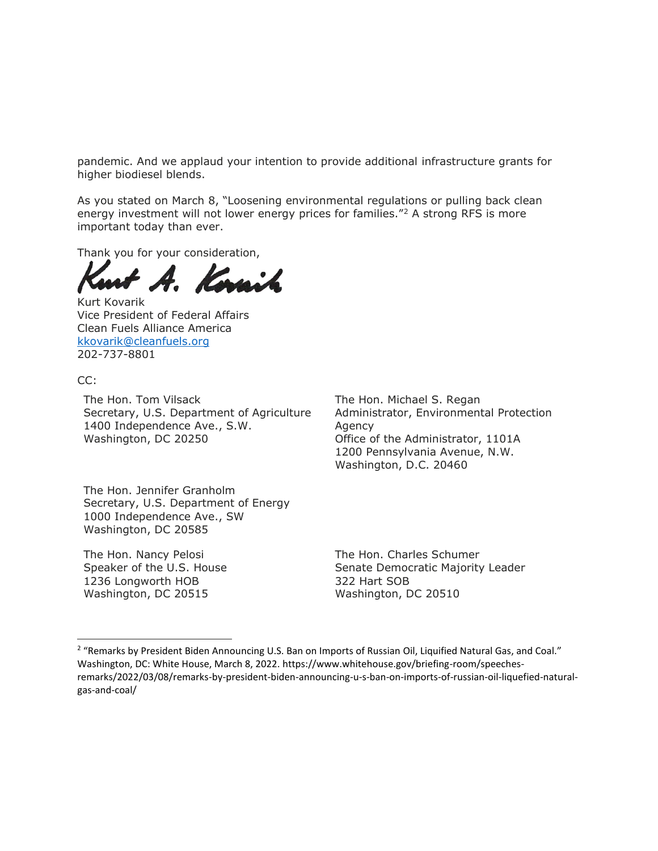pandemic. And we applaud your intention to provide additional infrastructure grants for higher biodiesel blends.

As you stated on March 8, "Loosening environmental regulations or pulling back clean energy investment will not lower energy prices for families."<sup>2</sup> A strong RFS is more important today than ever.

Thank you for your consideration,

A. Kassih

Kurt Kovarik Vice President of Federal Affairs Clean Fuels Alliance America [kkovarik@cleanfuels.org](mailto:kkovarik@cleanfuels.org) 202-737-8801

## CC:

The Hon. Tom Vilsack Secretary, U.S. Department of Agriculture 1400 Independence Ave., S.W. Washington, DC 20250

The Hon. Michael S. Regan Administrator, Environmental Protection Agency Office of the Administrator, 1101A 1200 Pennsylvania Avenue, N.W. Washington, D.C. 20460

The Hon. Jennifer Granholm Secretary, U.S. Department of Energy 1000 Independence Ave., SW Washington, DC 20585

The Hon. Nancy Pelosi Speaker of the U.S. House 1236 Longworth HOB Washington, DC 20515

The Hon. Charles Schumer Senate Democratic Majority Leader 322 Hart SOB Washington, DC 20510

<sup>&</sup>lt;sup>2</sup> "Remarks by President Biden Announcing U.S. Ban on Imports of Russian Oil, Liquified Natural Gas, and Coal." Washington, DC: White House, March 8, 2022. https://www.whitehouse.gov/briefing-room/speechesremarks/2022/03/08/remarks-by-president-biden-announcing-u-s-ban-on-imports-of-russian-oil-liquefied-naturalgas-and-coal/